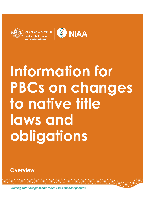**Australian Government** ational Indigenous **Australians Agency** 



# **Information for PBCs on changes to native title laws and obligations**

**Overview**

Working with Aboriginal and Torres Strait Islander peoples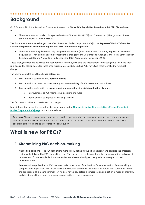## **Background**

On 3 February 2021, the Australian Government passed the *Native Title Legislation Amendment Act 2021* **(Amendment Act).**

• The Amendment Act makes changes to the *Native Title Act 1993* (NTA) and *Corporations (Aboriginal and Torres Strait Islander) Act 2006* (CATSI Act).

The Government also made changes that affect Prescribed Bodies Corporate (PBCs) in the *Registered Native Title Bodies Corporate Legislation Amendment Regulations 2021* **(Amendment Regulations)**.

• The Amendment Regulations mainly change the *Native Title* (*Prescribed Bodies Corporate) Regulations 1999* (PBC Regulations). They also make some consequential changes to the Corporations (Aboriginal and Torres Strait Islander) Regulations 2017 and Native Title (Indigenous Land Use Agreements) Regulations 1999.

These changes introduce new rules and requirements for PBCs, including the requirement for existing PBCs to amend their rule books. The starting date for these changes is 25 March 2021. Existing PBCs have two years to make the rule book changes.

The amendments fall into **three broad categories**:

- 1. Measures that streamline **PBC decision-making**
- 2. Measures that increase the **transparency and accountability** of PBCs to common law holders
- 3. Measures that assist with the **management and resolution of post-determination disputes**
	- a) Improvements to PBC membership decisions and rules
	- b) Improvements to dispute resolution pathways

This factsheet provides an overview of the changes.

More information about the amendments can be found on the **[Changes to Native Title legislation affecting Prescribed](https://www.niaa.gov.au/resource-centre/indigenous-affairs/changes-native-title-legislation-affecting-pbcs)  [Bodies Corporate](https://www.niaa.gov.au/resource-centre/indigenous-affairs/changes-native-title-legislation-affecting-pbcs) (PBCs) page** on the NIAA website.

**Rule book:** The rule book explains how the corporation operates, who can become a member, and how members and directors have to make decisions and run the corporation. All CATSI Act corporations need to have rule books. Rule books are also referred to as a corporation's constitution

## **What is new for PBCs?**

#### **1. Streamlining PBC decision-making**

**Native title decisions** – The PBC regulations more clearly define 'native title decisions' and describe the processes that must be followed by PBCs for making them. This means the regulations that relate to consultation and consent requirements for native title decisions are easier to understand and give clear guidance in respect of their implementation.

**Compensation applications** – PBCs can now make more types of applications for compensation. Before making a compensation application, PBCs must consult the relevant common law holders and obtain their consent to making the application. This means common law holders have a say before a compensation application is made by their PBC and decision-making around compensation applications is more transparent.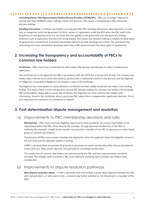**Consulting Native Title Representative Bodies/Service Providers (NTRB/SPs)** – PBCs are no longer required to consult with their NTRB/SPs when making a native title decision. This means a streamlining of PBC native title decision-making.

**Standing instructions** – Common law holders can now give their PBC standing instructions about decisions to enter into an Indigenous Land Use Agreement (ILUA) or section 31 agreement under the NTA when the PBC itself is the beneficiary or only grantee party (i.e. the body who has applied to the government for the grant of a mining tenement such as exploration licences and mining leases). This means that decision-making in relation to these types of agreements is streamlined, if common law holders agree to provide standing instructions. This will avoid timeconsuming and costly consultation processes each time a PBC wants to enter into these types of agreements.

#### **2. Increasing the transparency and accountability of PBCs to common law holders**

**Certificates** – PBCs must issue a certificate for every native title decision and decision to make a compensation application.

The certificate has to be signed by the PBC in accordance with the CATSI Act or by the CEO (if any). The common law holders (also referred to as native title holders), persons with a substantial interest in the decision and the Registrar of Indigenous Corporations (Registrar) can request a copy of the certificate.

The Registrar has a new power to assess whether a certificate has been validly issued and can make a non-binding finding. This means there is more transparency around PBC decision-making for common law holders and increased PBC accountability. Being able to access the certificate, the Registrar can assist common law holders with information, found in the certificate, about a particular PBC native title or compensation application decision. This in turn may avoid the escalation of a complaint or dispute.

#### **3. Post-determination dispute management and resolution**

#### a) Improvements to PBC membership decisions and rules

**Membership** – PBCs must now have eligibility requirements that provide for all common law holders to be represented within the PBC, either directly (for example, through personal membership of the PBC) or indirectly (for example, a single family member may become a member of the PBC to represent an entire family group of common law holders).

The directors of PBCs must accept a membership application when the applicant meets the eligibility criteria in the rule book and the applicant applies in writing.

A PBC's rule book must not provide for grounds or processes to cancel membership other than as provided for in the CATSI Act. PBCs cannot add their own grounds for cancelling memberships.

This means that all common law holders are represented by the PBC and their representation cannot be excluded. The changes seek to prevent a PBC from arbitrarily excluding some common law holders from membership.

#### b) Improvements to dispute resolution pathways

**New dispute resolution clause** – A PBC's rule book must now include a clause about disputes between the PBC and a person who is, or who claims to be, a common law holder (whether or not the person is a member of the PBC).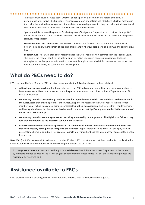The clause must cover disputes about whether or not a person is a common law holder or the PBC's performance of its native title functions. This means common law holders and PBCs have a further mechanism that helps them with the management of post-determination disputes which they can tailor to their traditional laws and customs and circumstances. This supports self-determination.

**Special administration** – The grounds for the Registrar of Indigenous Corporations to consider placing a PBC under special administration have been extended to include when the PBC breaches its native title obligations seriously or repeatedly.

**National Native Title Tribunal (NNTT)** – The NNTT now has the function to assist PBCs and common law holders, including with mediation of disputes. This means further support is available to PBCs and common law holders.

**Federal Court** - All PBC-related court matters under the CATSI Act must now commence in the Federal Court. This means the Federal Court will be able to apply its native title expertise, case management tools and strategies for resolving disputes in relation to native title applications, which it has developed over more than two decades nationally, to court matters involving PBCs.

### **What do PBCs need to do?**

PBCs registered before 25 March 2021 have two years to make the **following changes to their rule books**:

- **add a dispute resolution clause** for disputes between the PBC and common law holders and persons who claim to be common law holders about whether or not the person is a common law holder or the PBC's performance of its native title functions.
- **remove any rules that provide for grounds for membership to be cancelled that are additional to those set out in the CATSI Act** so that only the grounds in the CATSI Act apply. The reasons in the CATSI Act are: ineligibility for membership or failure to pay fees; being uncontactable; not being an Aboriginal and Torres Strait Islander person; and having misbehaved i.e. the member has behaved in a manner that significantly interfered with the operation of the PBC or of PBC meetings.
- **remove any rules that set out a process for cancelling membership on the grounds of ineligibility or failure to pay fees that are different to the processes set out in the CATSI Act.**
- **make sure the membership criteria provides for all common law holders to be represented within the PBC and make all necessary consequential changes to the rule book**. Representation can be direct (for example, through personal membership) or indirect (for example, a single family member becomes a member to represent their entire family group).

**New PBCs** (i.e. PBCs that come into existence on or after 25 March 2021) must ensure that their rule books comply with the CATSI Act (and include these reforms) when they incorporate under the CATSI Act.

To **change a rule book**, the members need to **pass a special resolution**. This means at least 75 per cent of the votes cast by members entitled to vote on the resolution (at a general meeting whose notice sets out the intention to propose the resolution) have agreed to it.

## **Assistance available to PBCs**

ORIC provides information and guidance for corporations to revise their rule books—see oric.gov.au.